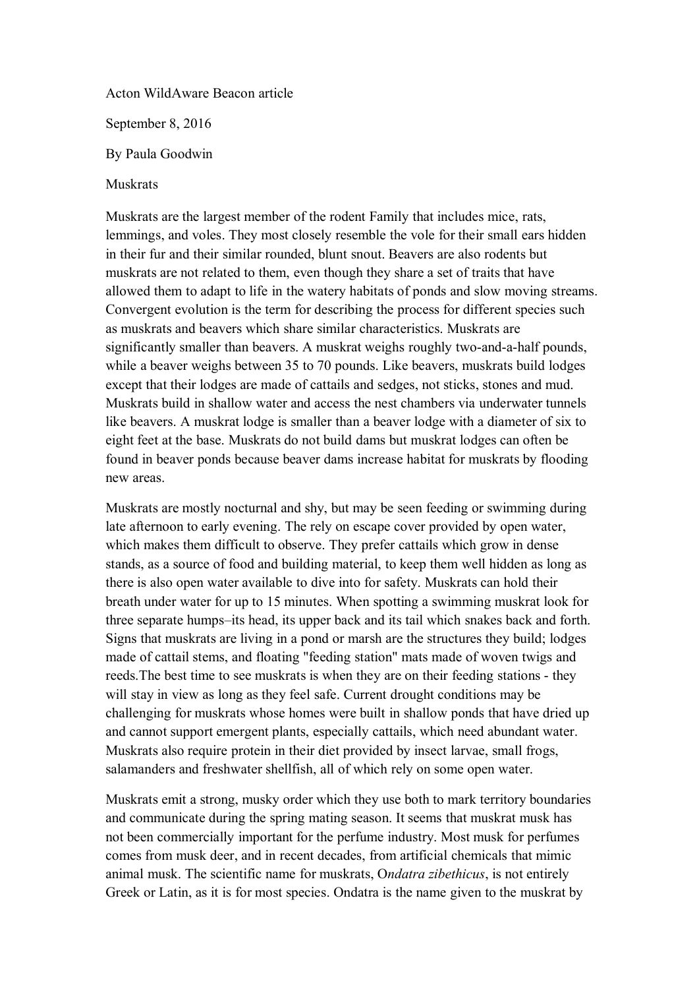Acton WildAware Beacon article

September 8, 2016

By Paula Goodwin

## Muskrats

Muskrats are the largest member of the rodent Family that includes mice, rats, lemmings, and voles. They most closely resemble the vole for their small ears hidden in their fur and their similar rounded, blunt snout. Beavers are also rodents but muskrats are not related to them, even though they share a set of traits that have allowed them to adapt to life in the watery habitats of ponds and slow moving streams. Convergent evolution is the term for describing the process for different species such as muskrats and beavers which share similar characteristics. Muskrats are significantly smaller than beavers. A muskrat weighs roughly two-and-a-half pounds, while a beaver weighs between 35 to 70 pounds. Like beavers, muskrats build lodges except that their lodges are made of cattails and sedges, not sticks, stones and mud. Muskrats build in shallow water and access the nest chambers via underwater tunnels like beavers. A muskrat lodge is smaller than a beaver lodge with a diameter of six to eight feet at the base. Muskrats do not build dams but muskrat lodges can often be found in beaver ponds because beaver dams increase habitat for muskrats by flooding new areas.

Muskrats are mostly nocturnal and shy, but may be seen feeding or swimming during late afternoon to early evening. The rely on escape cover provided by open water, which makes them difficult to observe. They prefer cattails which grow in dense stands, as a source of food and building material, to keep them well hidden as long as there is also open water available to dive into for safety. Muskrats can hold their breath under water for up to 15 minutes. When spotting a swimming muskrat look for three separate humps–its head, its upper back and its tail which snakes back and forth. Signs that muskrats are living in a pond or marsh are the structures they build; lodges made of cattail stems, and floating "feeding station" mats made of woven twigs and reeds.The best time to see muskrats is when they are on their feeding stations - they will stay in view as long as they feel safe. Current drought conditions may be challenging for muskrats whose homes were built in shallow ponds that have dried up and cannot support emergent plants, especially cattails, which need abundant water. Muskrats also require protein in their diet provided by insect larvae, small frogs, salamanders and freshwater shellfish, all of which rely on some open water.

Muskrats emit a strong, musky order which they use both to mark territory boundaries and communicate during the spring mating season. It seems that muskrat musk has not been commercially important for the perfume industry. Most musk for perfumes comes from musk deer, and in recent decades, from artificial chemicals that mimic animal musk. The scientific name for muskrats, O*ndatra zibethicus*, is not entirely Greek or Latin, as it is for most species. Ondatra is the name given to the muskrat by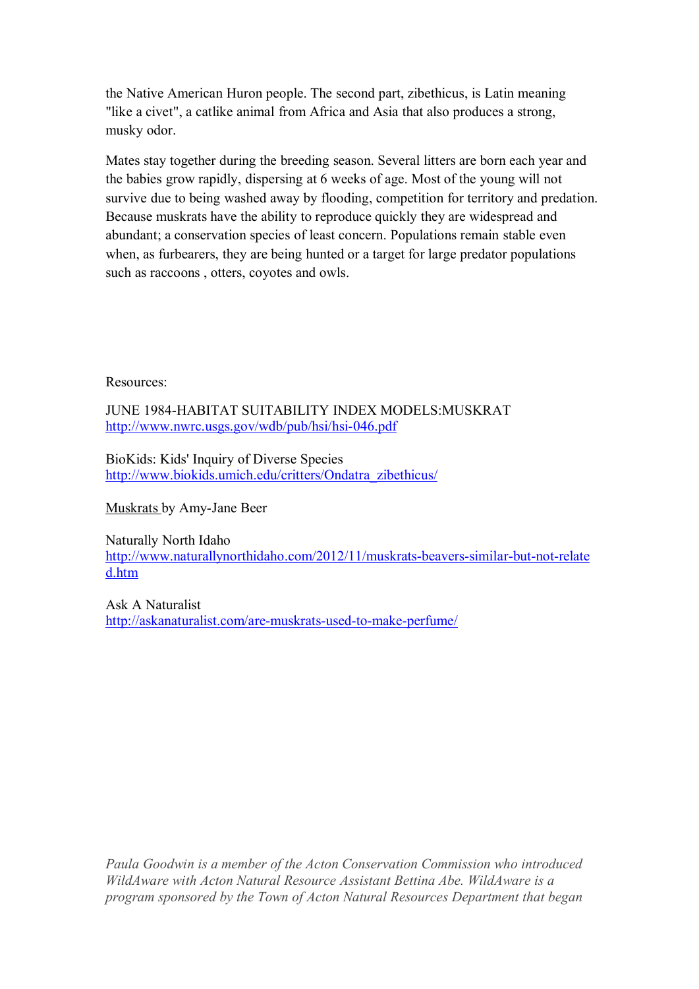the Native American Huron people. The second part, zibethicus, is Latin meaning "like a civet", a catlike animal from Africa and Asia that also produces a strong, musky odor.

Mates stay together during the breeding season. Several litters are born each year and the babies grow rapidly, dispersing at 6 weeks of age. Most of the young will not survive due to being washed away by flooding, competition for territory and predation. Because muskrats have the ability to reproduce quickly they are widespread and abundant; a conservation species of least concern. Populations remain stable even when, as furbearers, they are being hunted or a target for large predator populations such as raccoons , otters, coyotes and owls.

Resources:

JUNE 1984-HABITAT SUITABILITY INDEX MODELS:MUSKRAT <http://www.nwrc.usgs.gov/wdb/pub/hsi/hsi-046.pdf>

BioKids: Kids' Inquiry of Diverse Species [http://www.biokids.umich.edu/critters/Ondatra\\_zibethicus/](http://www.biokids.umich.edu/critters/Ondatra_zibethicus/)

Muskrats by Amy-Jane Beer

Naturally North Idaho [http://www.naturallynorthidaho.com/2012/11/muskrats-beavers-similar-but-not-relate](http://www.naturallynorthidaho.com/2012/11/muskrats-beavers-similar-but-not-related.htm) [d.htm](http://www.naturallynorthidaho.com/2012/11/muskrats-beavers-similar-but-not-related.htm)

Ask A Naturalist <http://askanaturalist.com/are-muskrats-used-to-make-perfume/>

*Paula Goodwin is a member of the Acton Conservation Commission who introduced WildAware with Acton Natural Resource Assistant Bettina Abe. WildAware is a program sponsored by the Town of Acton Natural Resources Department that began*